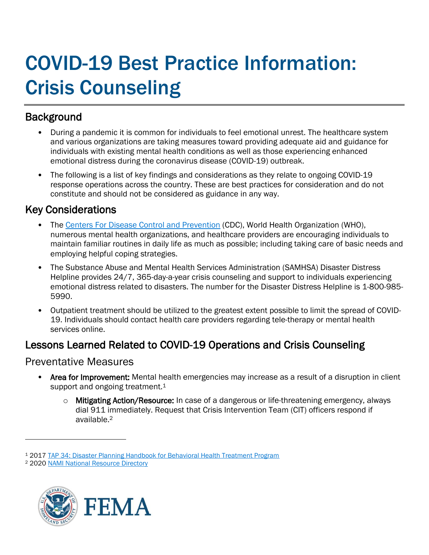# COVID-19 Best Practice Information: Crisis Counseling

# **Background**

- During a pandemic it is common for individuals to feel emotional unrest. The healthcare system and various organizations are taking measures toward providing adequate aid and guidance for individuals with existing mental health conditions as well as those experiencing enhanced emotional distress during the coronavirus disease (COVID-19) outbreak.
- The following is a list of key findings and considerations as they relate to ongoing COVID-19 response operations across the country. These are best practices for consideration and do not constitute and should not be considered as guidance in any way.

# Key Considerations

- The Centers For [Disease Control and Prevention](https://www.cdc.gov/coronavirus/2019-ncov/daily-life-coping/index.html) (CDC), World Health Organization (WHO), numerous mental health organizations, and healthcare providers are encouraging individuals to maintain familiar routines in daily life as much as possible; including taking care of basic needs and employing helpful coping strategies.
- The Substance Abuse and Mental Health Services Administration (SAMHSA) Disaster Distress Helpline provides 24/7, 365-day-a-year crisis counseling and support to individuals experiencing emotional distress related to disasters. The number for the Disaster Distress Helpline is 1-800-985- 5990.
- Outpatient treatment should be utilized to the greatest extent possible to limit the spread of COVID-19. Individuals should contact health care providers regarding tele-therapy or mental health services online.

# Lessons Learned Related to COVID-19 Operations and Crisis Counseling

## Preventative Measures

- Area for Improvement: Mental health emergencies may increase as a result of a disruption in client support and ongoing treatment.<sup>1</sup>
	- o Mitigating Action/Resource: In case of a dangerous or life-threatening emergency, always dial 911 immediately. Request that Crisis Intervention Team (CIT) officers respond if available.<sup>2</sup>

<sup>2</sup> 2020 [NAMI National Resource Directory](https://www.nami.org/NAMI/media/NAMI-Media/Images/FactSheets/NAMINationalResourceDirectory.pdf)



<sup>1</sup> 2017 [TAP 34: Disaster Planning Handbook for Behavioral Health Treatment Program](https://store.samhsa.gov/sites/default/files/d7/priv/sma13-4779.pdf)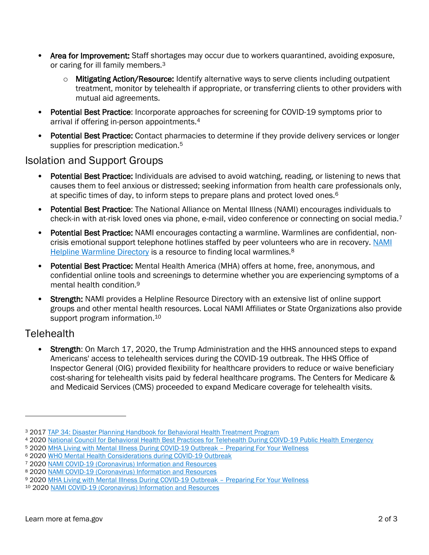- Area for Improvement: Staff shortages may occur due to workers quarantined, avoiding exposure, or caring for ill family members.<sup>3</sup>
	- $\circ$  Mitigating Action/Resource: Identify alternative ways to serve clients including outpatient treatment, monitor by telehealth if appropriate, or transferring clients to other providers with mutual aid agreements.
- Potential Best Practice: Incorporate approaches for screening for COVID-19 symptoms prior to arrival if offering in-person appointments.<sup>4</sup>
- Potential Best Practice: Contact pharmacies to determine if they provide delivery services or longer supplies for prescription medication.<sup>5</sup>

#### Isolation and Support Groups

- Potential Best Practice: Individuals are advised to avoid watching, reading, or listening to news that causes them to feel anxious or distressed; seeking information from health care professionals only, at specific times of day, to inform steps to prepare plans and protect loved ones. 6
- Potential Best Practice: The National Alliance on Mental Illness (NAMI) encourages individuals to check-in with at-risk loved ones via phone, e-mail, video conference or connecting on social media.<sup>7</sup>
- Potential Best Practice: NAMI encourages contacting a warmline. Warmlines are confidential, noncrisis emotional support telephone hotlines staffed by peer volunteers who are in recovery. NAMI [Helpline Warmline Directory](https://www.nami.org/NAMI/media/NAMI-Media/BlogImageArchive/2020/NAMI-National-HelpLine-WarmLine-Directory-3-11-20.pdf) is a resource to finding local warmlines.<sup>8</sup>
- Potential Best Practice: Mental Health America (MHA) offers at home, free, anonymous, and confidential online tools and screenings to determine whether you are experiencing symptoms of a mental health condition.<sup>9</sup>
- Strength: NAMI provides a Helpline Resource Directory with an extensive list of online support groups and other mental health resources. Local NAMI Affiliates or State Organizations also provide support program information.<sup>10</sup>

### **Telehealth**

**Strength:** On March 17, 2020, the Trump Administration and the HHS announced steps to expand Americans' access to telehealth services during the COVID-19 outbreak. The HHS Office of Inspector General (OIG) provided flexibility for healthcare providers to reduce or waive beneficiary cost-sharing for telehealth visits paid by federal healthcare programs. The Centers for Medicare & and Medicaid Services (CMS) proceeded to expand Medicare coverage for telehealth visits.

<sup>3</sup> 2017 [TAP 34: Disaster Planning Handbook for Behavioral Health Treatment Program](https://store.samhsa.gov/sites/default/files/d7/priv/sma13-4779.pdf)

<sup>4</sup> 2020 [National Council for Behavioral Health Best Practices for Telehealth During COIVD-19 Public Health Emergency](https://www.thenationalcouncil.org/wp-content/uploads/2020/03/Telehealth_Best_Practices.pdf?daf=375ateTbd56)

<sup>5</sup> 2020 [MHA Living with Mental Illness During COVID-19 Outbreak](https://mhanational.org/living-mental-illness-during-covid-19-outbreak-preparing-your-wellness) – Preparing For Your Wellness

<sup>6</sup> 2020 [WHO Mental Health Considerations during COVID-19 Outbreak](https://www.who.int/docs/default-source/coronaviruse/mental-health-considerations.pdf)

<sup>7</sup> 2020 [NAMI COVID-19 \(Coronavirus\) Information and Resources](https://www.nami.org/getattachment/About-NAMI/NAMI-News/2020/NAMI-Updates-on-the-Coronavirus/COVID-19-Updated-Guide-1.pdf)

<sup>8</sup> 2020 [NAMI COVID-19 \(Coronavirus\) Information and Resources](https://www.nami.org/getattachment/About-NAMI/NAMI-News/2020/NAMI-Updates-on-the-Coronavirus/COVID-19-Updated-Guide-1.pdf)

<sup>9</sup> 2020 [MHA Living with Mental Illness During COVID-19 Outbreak](https://mhanational.org/living-mental-illness-during-covid-19-outbreak-preparing-your-wellness) – Preparing For Your Wellness

<sup>10</sup> 2020 [NAMI COVID-19 \(Coronavirus\) Information and Resources](https://www.nami.org/getattachment/About-NAMI/NAMI-News/2020/NAMI-Updates-on-the-Coronavirus/COVID-19-Updated-Guide-1.pdf)